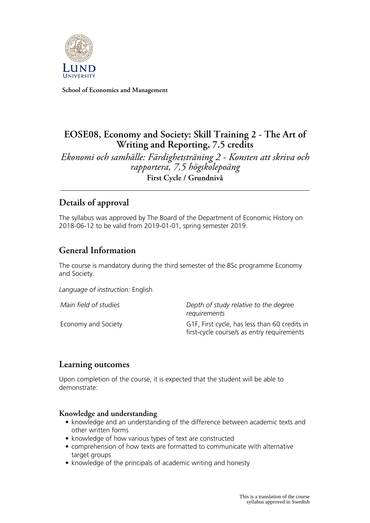

**School of Economics and Management**

# **EOSE08, Economy and Society: Skill Training 2 - The Art of Writing and Reporting, 7.5 credits**

*Ekonomi och samhälle: Färdighetsträning 2 - Konsten att skriva och rapportera, 7,5 högskolepoäng* **First Cycle / Grundnivå**

# **Details of approval**

The syllabus was approved by The Board of the Department of Economic History on 2018-06-12 to be valid from 2019-01-01, spring semester 2019.

# **General Information**

The course is mandatory during the third semester of the BSc programme Economy and Society.

*Language of instruction:* English

*Main field of studies Depth of study relative to the degree requirements*

Economy and Society G1F, First cycle, has less than 60 credits in first-cycle course/s as entry requirements

## **Learning outcomes**

Upon completion of the course, it is expected that the student will be able to demonstrate:

### **Knowledge and understanding**

- knowledge and an understanding of the difference between academic texts and other written forms
- knowledge of how various types of text are constructed
- comprehension of how texts are formatted to communicate with alternative target groups
- knowledge of the principals of academic writing and honesty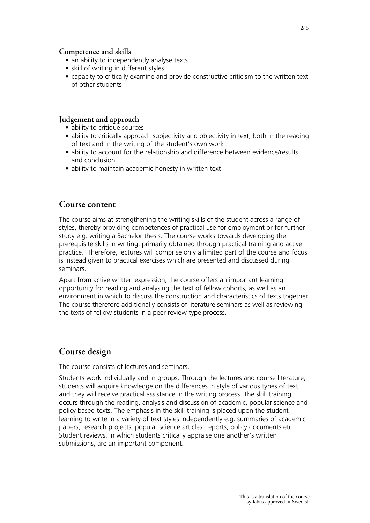#### **Competence and skills**

- an ability to independently analyse texts
- skill of writing in different styles
- capacity to critically examine and provide constructive criticism to the written text of other students

### **Judgement and approach**

- ability to critique sources
- ability to critically approach subjectivity and objectivity in text, both in the reading of text and in the writing of the student's own work
- ability to account for the relationship and difference between evidence/results and conclusion
- ability to maintain academic honesty in written text

### **Course content**

The course aims at strengthening the writing skills of the student across a range of styles, thereby providing competences of practical use for employment or for further study e.g. writing a Bachelor thesis. The course works towards developing the prerequisite skills in writing, primarily obtained through practical training and active practice. Therefore, lectures will comprise only a limited part of the course and focus is instead given to practical exercises which are presented and discussed during seminars.

Apart from active written expression, the course offers an important learning opportunity for reading and analysing the text of fellow cohorts, as well as an environment in which to discuss the construction and characteristics of texts together. The course therefore additionally consists of literature seminars as well as reviewing the texts of fellow students in a peer review type process.

## **Course design**

The course consists of lectures and seminars.

Students work individually and in groups. Through the lectures and course literature, students will acquire knowledge on the differences in style of various types of text and they will receive practical assistance in the writing process. The skill training occurs through the reading, analysis and discussion of academic, popular science and policy based texts. The emphasis in the skill training is placed upon the student learning to write in a variety of text styles independently e.g. summaries of academic papers, research projects, popular science articles, reports, policy documents etc. Student reviews, in which students critically appraise one another's written submissions, are an important component.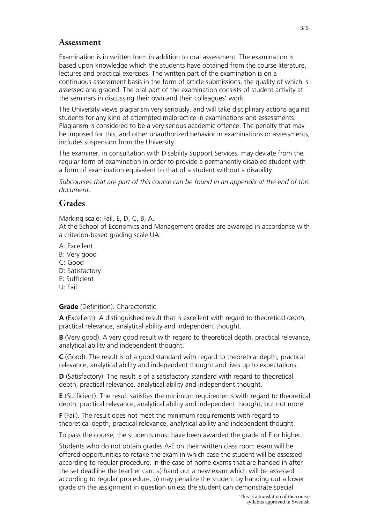### **Assessment**

Examination is in written form in addition to oral assessment. The examination is based upon knowledge which the students have obtained from the course literature, lectures and practical exercises. The written part of the examination is on a continuous assessment basis in the form of article submissions, the quality of which is assessed and graded. The oral part of the examination consists of student activity at the seminars in discussing their own and their colleagues' work.

The University views plagiarism very seriously, and will take disciplinary actions against students for any kind of attempted malpractice in examinations and assessments. Plagiarism is considered to be a very serious academic offence. The penalty that may be imposed for this, and other unauthorized behavior in examinations or assessments, includes suspension from the University.

The examiner, in consultation with Disability Support Services, may deviate from the regular form of examination in order to provide a permanently disabled student with a form of examination equivalent to that of a student without a disability.

*Subcourses that are part of this course can be found in an appendix at the end of this document.*

## **Grades**

Marking scale: Fail, E, D, C, B, A.

At the School of Economics and Management grades are awarded in accordance with a criterion-based grading scale UA:

- A: Excellent
- B: Very good
- C: Good
- D: Satisfactory
- E: Sufficient
- U: Fail

### **Grade** (Definition). Characteristic

**A** (Excellent). A distinguished result that is excellent with regard to theoretical depth, practical relevance, analytical ability and independent thought.

**B** (Very good). A very good result with regard to theoretical depth, practical relevance, analytical ability and independent thought.

**C** (Good). The result is of a good standard with regard to theoretical depth, practical relevance, analytical ability and independent thought and lives up to expectations.

**D** (Satisfactory). The result is of a satisfactory standard with regard to theoretical depth, practical relevance, analytical ability and independent thought.

**E** (Sufficient). The result satisfies the minimum requirements with regard to theoretical depth, practical relevance, analytical ability and independent thought, but not more.

**F** (Fail). The result does not meet the minimum requirements with regard to theoretical depth, practical relevance, analytical ability and independent thought.

To pass the course, the students must have been awarded the grade of E or higher.

Students who do not obtain grades A-E on their written class room exam will be offered opportunities to retake the exam in which case the student will be assessed according to regular procedure. In the case of home exams that are handed in after the set deadline the teacher can: a) hand out a new exam which will be assessed according to regular procedure, b) may penalize the student by handing out a lower grade on the assignment in question unless the student can demonstrate special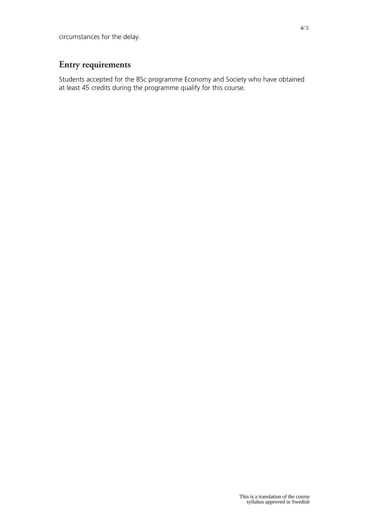# **Entry requirements**

Students accepted for the BSc programme Economy and Society who have obtained at least 45 credits during the programme qualify for this course.